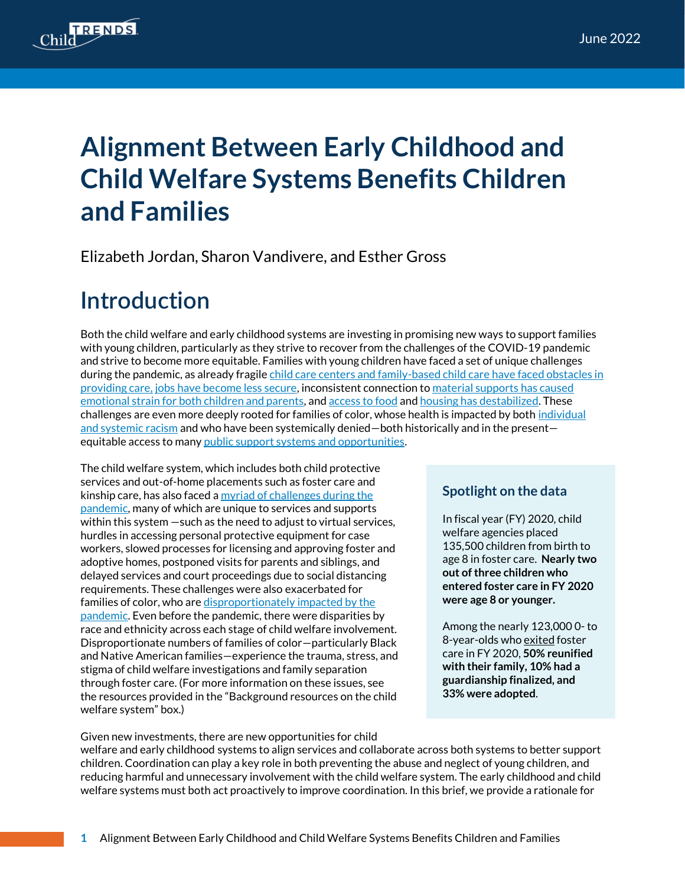

# **Alignment Between Early Childhood and Child Welfare Systems Benefits Children and Families**

Elizabeth Jordan, Sharon Vandivere, and Esther Gross

## **Introduction**

Both the child welfare and early childhood systems are investing in promising new ways to support families with young children, particularly as they strive to recover from the challenges of the COVID-19 pandemic and strive to become more equitable. Families with young children have faced a set of unique challenges during the pandemic, as already fragile child care centers and family-based child care have faced obstacles in [providing care,](https://www.naeyc.org/sites/default/files/globally-shared/downloads/PDFs/our-work/public-policy-advocacy/effects_of_coronavirus_on_child_care.final.pdf) [jobs have become less secure,](https://www.uorapidresponse.com/our-research/mothers-of-young-children-speak-on-work-during-the-pandemic) inconsistent connection t[o material supports](https://www.uorapidresponse.com/our-research/emotional-distress-on-rise-again) has caused emotional strain for both children and parents, and [access to food](https://www.uorapidresponse.com/our-research/still-in-uncertain-times-still-facing-hunger) an[d housing has destabilized.](https://www.childtrends.org/blog/housing-systems-must-better-support-families-with-young-children-experiencing-homelessness) These challenges are even more deeply rooted for families of color, whose health is impacted by both [individual](https://cssp.org/wp-content/uploads/2021/02/Supporting-the-First-1000-Days-of-a-Childs-Life.pdf)  [and systemic racism](https://cssp.org/wp-content/uploads/2021/02/Supporting-the-First-1000-Days-of-a-Childs-Life.pdf) and who have been systemically denied—both historically and in the present equitable access to man[y public support systems and opportunities.](https://developingchild.harvard.edu/resources/racism-and-ecd/)

The child welfare system, which includes both child protective services and out-of-home placements such as foster care and kinship care, has also faced [a myriad of challenges](https://www.gao.gov/products/gao-21-483) during the pandemic, many of which are unique to services and supports within this system —such as the need to adjust to virtual services, hurdles in accessing personal protective equipment for case workers, slowed processes for licensing and approving foster and adoptive homes, postponed visits for parents and siblings, and delayed services and court proceedings due to social distancing requirements. These challenges were also exacerbated for families of color, who ar[e disproportionately](https://pubmed.ncbi.nlm.nih.gov/33738483/) impacted by the [pandemic.](https://www.gao.gov/products/gao-21-483) Even before the pandemic, there were [disparities by](https://www.childwelfare.gov/pubPDFs/racial_disproportionality.pdf)  [race and ethnicity](https://www.childwelfare.gov/pubPDFs/racial_disproportionality.pdf) across each stage of child welfare involvement. Disproportionate numbers of families of color—particularly Black and Native American families—experience the trauma, stress, and stigma of child welfare investigations and family separation through foster care. (For more information on these issues, see the resources provided in the "Background resources on the child welfare system" box.)

### **Spotlight on the data**

In fiscal year (FY) 2020, child welfare agencies placed 135,500 children from birth to age 8 in foster care. **Nearly two out of three children who entered foster care in FY 2020 were age 8 or younger.**

Among the nearly 123,000 0- to 8-year-olds who exited foster care in FY 2020, **50% reunified with their family, 10% had a guardianship finalized, and 33% were adopted**.

Given new investments, there are new opportunities for child

welfare and early childhood systems to align services and collaborate across both systems to better support children. Coordination can play a key role in both preventing the abuse and neglect of young children, and reducing harmful and unnecessary involvement with the child welfare system. The early childhood and child welfare systems must both act proactively to improve coordination. In this brief, we provide a rationale for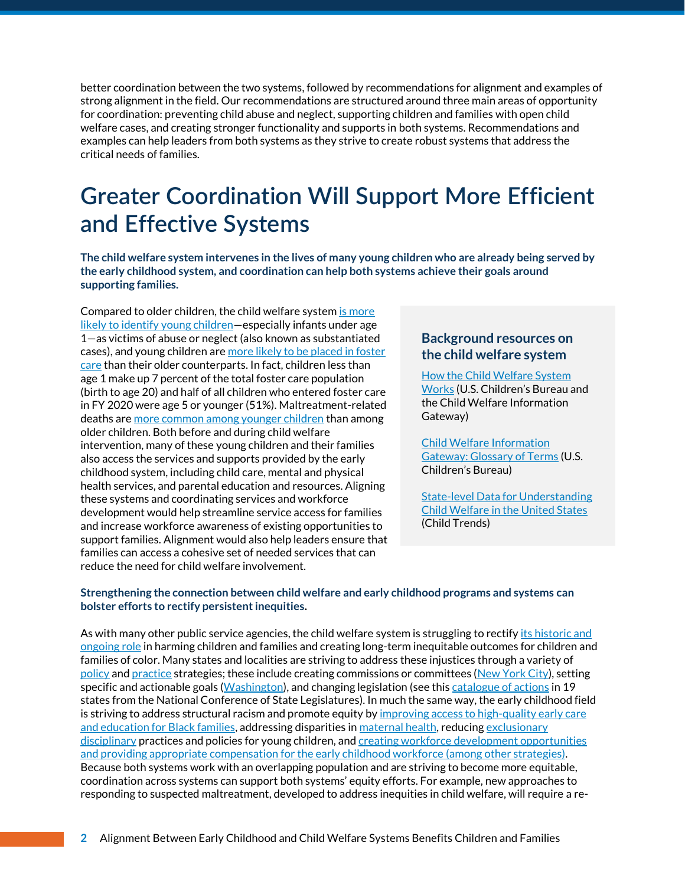better coordination between the two systems, followed by recommendations for alignment and examples of strong alignment in the field. Our recommendations are structured around three main areas of opportunity for coordination: preventing child abuse and neglect, supporting children and families with open child welfare cases, and creating stronger functionality and supports in both systems. Recommendations and examples can help leaders from both systems as they strive to create robust systems that address the critical needs of families.

## **Greater Coordination Will Support More Efficient and Effective Systems**

**The child welfare system intervenes in the lives of many young children who are already being served by the early childhood system, and coordination can help both systems achieve their goals around supporting families.**

Compared to older children, the child welfare system [is more](https://www.acf.hhs.gov/sites/default/files/documents/cb/afcarsreport28.pdf)  [likely to identify young children](https://www.acf.hhs.gov/sites/default/files/documents/cb/afcarsreport28.pdf)—especially infants under age 1—as victims of abuse or neglect (also known as substantiated cases), and young children are [more likely to be placed in foster](https://www.acf.hhs.gov/sites/default/files/documents/cb/afcarsreport28.pdf)  [care](https://www.acf.hhs.gov/sites/default/files/documents/cb/afcarsreport28.pdf) than their older counterparts. In fact, children less than age 1 make up 7 percent of the total foster care population (birth to age 20) and half of all children who entered foster care in FY 2020 were age 5 or younger (51%). Maltreatment-related deaths ar[e more common among younger children](https://www.acf.hhs.gov/sites/default/files/documents/cb/cm2020.pdf) than among older children. Both before and during child welfare intervention, many of these young children and their families also access the services and supports provided by the early childhood system, including child care, mental and physical health services, and parental education and resources. Aligning these systems and coordinating services and workforce development would help streamline service access for families and increase workforce awareness of existing opportunities to support families. Alignment would also help leaders ensure that families can access a cohesive set of needed services that can reduce the need for child welfare involvement.

#### **Background resources on the child welfare system**

[How the Child Welfare System](https://www.childwelfare.gov/pubpdfs/cpswork.pdf)  [Works](https://www.childwelfare.gov/pubpdfs/cpswork.pdf) (U.S. Children's Bureau and the Child Welfare Information Gateway)

[Child Welfare Information](https://www.childwelfare.gov/glossary/glossarya/)  [Gateway: Glossary of Terms](https://www.childwelfare.gov/glossary/glossarya/) (U.S. Children's Bureau)

[State-level Data for Understanding](https://www.childtrends.org/publications/state-level-data-for-understanding-child-welfare-in-the-united-states)  [Child Welfare in the United States](https://www.childtrends.org/publications/state-level-data-for-understanding-child-welfare-in-the-united-states) (Child Trends)

#### **Strengthening the connection between child welfare and early childhood programs and systems can bolster efforts to rectify persistent inequities.**

As with many other public service agencies, the child welfare system is struggling to rectify its historic and [ongoing role](https://cssp.org/wp-content/uploads/2021/02/Supporting-the-First-1000-Days-of-a-Childs-Life.pdf) in harming children and families and creating long-term inequitable outcomes for children and families of color. Many states and localities are striving to address these injustices through a variety of [policy](https://www.ncsl.org/research/human-services/disproportionality-and-race-equity-in-child-welfare.aspx) an[d practice](https://www.childwelfare.gov/topics/systemwide/cultural/disproportionality/reducing/statelocex/) strategies; these include creating commissions or committees [\(New York City\)](https://www1.nyc.gov/site/acs/about/racial-equity-cultural-competence.page), setting specific and actionable goals [\(Washington\)](https://www.dcyf.wa.gov/practice/strategic-plan), and changing legislation (see thi[s catalogue of actions](https://www.ncsl.org/research/human-services/disproportionality-and-race-equity-in-child-welfare.aspx) in 19 states from the National Conference of State Legislatures). In much the same way, the early childhood field is striving to address structural racism and promote equity b[y improving a](https://www.childtrends.org/publications/federal-policies-can-address-the-impact-of-structural-racism-on-black-families-access-to-early-care-and-education)ccess to high-quality early care and education for Black families, addressing disparities i[n maternal health,](https://www.childtrends.org/publications/racism-creates-inequities-maternal-child-health-even-before-birth) reducin[g exclusionary](https://www.naeyc.org/resources/topics/suspension-and-expulsion)  [disciplinary](https://www.naeyc.org/resources/topics/suspension-and-expulsion) practices and policies for young children, an[d creating workforce development opportunities](https://www.childtrends.org/publications/supporting-families-child-care-providers-during-pandemic-with-focus-equity)  [and providing appropriate compensation for the early childhood workforce](https://www.childtrends.org/publications/supporting-families-child-care-providers-during-pandemic-with-focus-equity) (among other strategies). Because both systems work with an overlapping population and are striving to become more equitable, coordination across systems can support both systems' equity efforts. For example, new approaches to responding to suspected maltreatment, developed to address inequities in child welfare, will require a re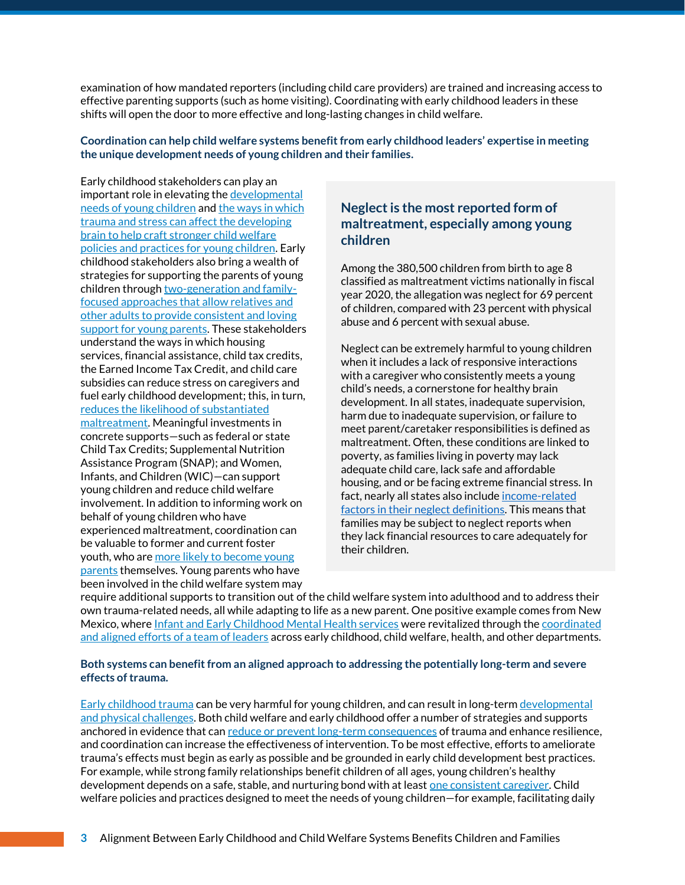examination of how mandated reporters (including child care providers) are trained and increasing access to effective parenting supports (such as home visiting). Coordinating with early childhood leaders in these shifts will open the door to more effective and long-lasting changes in child welfare.

**Coordination can help child welfare systems benefit from early childhood leaders' expertise in meeting the unique development needs of young children and their families.**

Early childhood stakeholders can play an important role in elevating the [developmental](https://developingchild.harvard.edu/science/key-concepts/brain-architecture/)  [needs of young children](https://developingchild.harvard.edu/science/key-concepts/brain-architecture/) an[d the ways in which](https://developingchild.harvard.edu/guide/a-guide-to-toxic-stress/)  [trauma and stress can affect the developing](https://developingchild.harvard.edu/guide/a-guide-to-toxic-stress/)  brain [to help craft stronger child welfare](https://developingchild.harvard.edu/guide/a-guide-to-toxic-stress/)  [policies and practices for young children.](https://developingchild.harvard.edu/guide/a-guide-to-toxic-stress/) Early childhood stakeholders also bring a wealth of strategies for supporting the parents of young children throug[h two-generation](https://www.urban.org/policy-centers/metropolitan-housing-and-communities-policy-center/projects/host-initiative-action/designing-housing-platform-services/two-generation-approach) and familyfocused [approache](https://www.urban.org/policy-centers/metropolitan-housing-and-communities-policy-center/projects/host-initiative-action/designing-housing-platform-services/two-generation-approach)s that allow relatives and other adults to provide consistent and loving support for young parents. These stakeholders understand the ways in which housing services, financial assistance, child tax credits, the Earned Income Tax Credit, and child care subsidies can reduce stress on caregivers and fuel early childhood development; this, in turn, [reduces the likelihood of substantiated](https://www.chapinhall.org/wp-content/uploads/Economic-and-Concrete-Supports.pdf)  [maltreatment.](https://www.chapinhall.org/wp-content/uploads/Economic-and-Concrete-Supports.pdf) Meaningful investments in concrete supports—such as federal or state Child Tax Credits; Supplemental Nutrition Assistance Program (SNAP); and Women, Infants, and Children (WIC)—can support young children and reduce child welfare involvement. In addition to informing work on behalf of young children who have experienced maltreatment, coordination can be valuable to former and current foster youth, who ar[e more likely to become young](https://www.chapinhall.org/research/pregnant-and-parenting-youth-in-foster-care-their-needs-their-experiences/#:~:text=About%2090%20percent%20of%20the,when%20their%20prenatal%20care%20began.&text=Twenty%2Dtwo%20percent%20of%20the,child%20placed%20in%20foster%20care.)  [parents](https://www.chapinhall.org/research/pregnant-and-parenting-youth-in-foster-care-their-needs-their-experiences/#:~:text=About%2090%20percent%20of%20the,when%20their%20prenatal%20care%20began.&text=Twenty%2Dtwo%20percent%20of%20the,child%20placed%20in%20foster%20care.) themselves. Young parents who have been involved in the child welfare system may

#### **Neglect is the most reported form of maltreatment, especially among young children**

Among the 380,500 children from birth to age 8 classified as maltreatment victims nationally in fiscal year 2020, the allegation was neglect for 69 percent of children, compared with 23 percent with physical abuse and 6 percent with sexual abuse.

Neglect can be extremely harmful to young children when it includes a lack of responsive interactions with a caregiver who consistently meets a young child's needs, a cornerstone for healthy brain development. In all states, inadequate supervision, harm due to inadequate supervision, or failure to meet parent/caretaker responsibilities is defined as maltreatment. Often, these conditions are linked to poverty, as families living in poverty may lack adequate child care, lack safe and affordable housing, and or be facing extreme financial stress. In fact, nearly all states also include income-related [factors in their neglect definitions.](https://www.childtrends.org/blog/in-defining-maltreatment-nearly-half-of-states-do-not-specifically-exempt-families-financial-inability-to-provide) This means that families may be subject to neglect reports when they lack financial resources to care adequately for their children.

require additional supports to transition out of the child welfare system into adulthood and to address their own trauma-related needs, all while adapting to life as a new parent. One positive example comes from New Mexico, where [Infant and Early Childhood Mental Health services](https://cyfd.org/behavioral-health/infant-and-early-childhood-mental-health-services) were revitalized through the coordinated [and aligned efforts of a team of leaders](https://www.zerotothree.org/resources/3159-new-mexico-infant-and-early-childhood-mental-health-policy-vignette) across early childhood, child welfare, health, and other departments.

#### **Both systems can benefit from an aligned approach to addressing the potentially long-term and severe effects of trauma.**

[Early childhood trauma](https://www.nctsn.org/what-is-child-trauma/trauma-types/early-childhood-trauma) can be very harmful for young children, and can result in long-ter[m developmental](https://www.nctsn.org/what-is-child-trauma/trauma-types/early-childhood-trauma/effects)  [and physical challenges.](https://www.nctsn.org/what-is-child-trauma/trauma-types/early-childhood-trauma/effects) Both child welfare and early childhood offer a number of strategies and supports anchored in evidence that ca[n reduce or prevent long-term consequences](https://www.nctsn.org/resources/resilience-and-child-traumatic-stress) of trauma and enhance resilience, and coordination can increase the effectiveness of intervention. To be most effective, efforts to ameliorate trauma's effects must begin as early as possible and be grounded in early child development best practices. For example, while strong family relationships benefit children of all ages, young children's healthy development depends on a safe, stable, and nurturing bond with at least [one consistent caregiver.](https://www.zerotothree.org/resources/399-factors-that-affect-attachment) Child welfare policies and practices designed to meet the needs of young children—for example, facilitating daily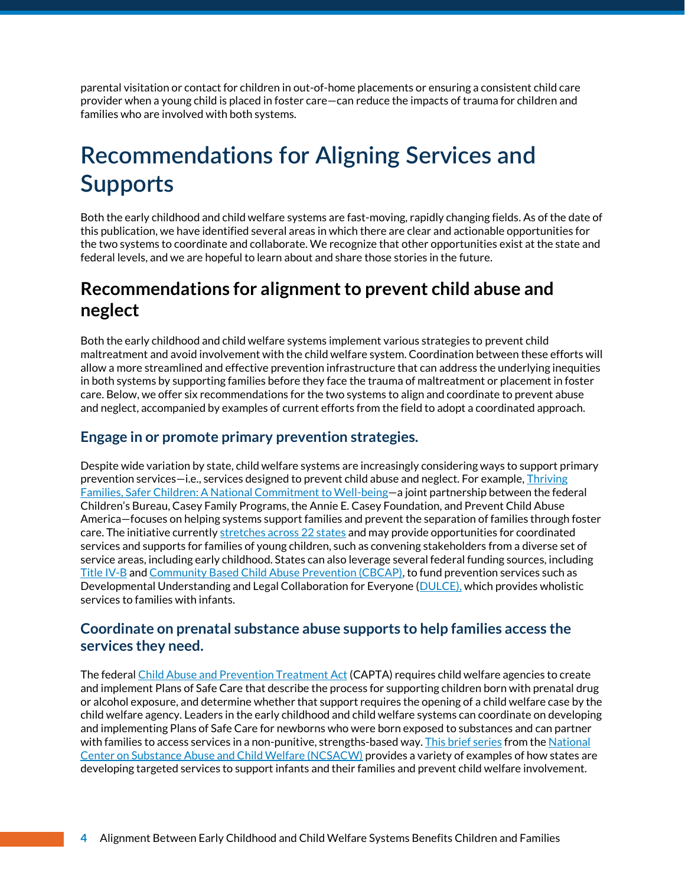parental visitation or contact for children in out-of-home placements or ensuring a consistent child care provider when a young child is placed in foster care—can reduce the impacts of trauma for children and families who are involved with both systems.

# **Recommendations for Aligning Services and Supports**

Both the early childhood and child welfare systems are fast-moving, rapidly changing fields. As of the date of this publication, we have identified several areas in which there are clear and actionable opportunities for the two systems to coordinate and collaborate. We recognize that other opportunities exist at the state and federal levels, and we are hopeful to learn about and share those stories in the future.

### **Recommendations for alignment to prevent child abuse and neglect**

Both the early childhood and child welfare systems implement various strategies to prevent child maltreatment and avoid involvement with the child welfare system. Coordination between these efforts will allow a more streamlined and effective prevention infrastructure that can address the underlying inequities in both systems by supporting families before they face the trauma of maltreatment or placement in foster care. Below, we offer six recommendations for the two systems to align and coordinate to prevent abuse and neglect, accompanied by examples of current efforts from the field to adopt a coordinated approach.

#### **Engage in or promote primary prevention strategies.**

Despite wide variation by state, child welfare systems are increasingly considering ways to support primary prevention services—i.e., services designed to prevent child abuse and neglect. For example[, Thriving](https://www.acf.hhs.gov/media/press/2020/first-its-kind-national-partnership-aims-redesign-child-welfare-child-and-family)  [Families, Safer Children: A National Commitment to Well-being](https://www.acf.hhs.gov/media/press/2020/first-its-kind-national-partnership-aims-redesign-child-welfare-child-and-family)—a joint partnership between the federal Children's Bureau, Casey Family Programs, the Annie E. Casey Foundation, and Prevent Child Abuse America—focuses on helping systems support families and prevent the separation of families through foster care. The initiative currentl[y stretches across 22 states](https://www.aecf.org/blog/national-partnership-to-reinvent-child-welfare-expands) and may provide opportunities for coordinated services and supports for families of young children, such as convening stakeholders from a diverse set of service areas, including early childhood. States can also leverage several federal funding sources, including [Title IV-B](https://www.childtrends.org/wp-content/uploads/2021/01/Title_IVB_SFY2018.pdf) and [Community Based Child Abuse Prevention \(CBCAP\),](https://www.childtrends.org/wp-content/uploads/2021/01/Other-federal_SFY2018.pdf) to fund prevention services such as Developmental Understanding and Legal Collaboration for Everyone [\(DULCE\)](https://cssp.org/our-work/project/dulce/), which provides wholistic services to families with infants.

#### **Coordinate on prenatal substance abuse supports to help families access the services they need.**

The federa[l Child Abuse and Prevention Treatment Act](https://www.childwelfare.gov/pubs/factsheets/about/) (CAPTA) requires child welfare agencies to create and implement Plans of Safe Care that describe the process for supporting children born with prenatal drug or alcohol exposure, and determine whether that support requires the opening of a child welfare case by the child welfare agency. Leaders in the early childhood and child welfare systems can coordinate on developing and implementing Plans of Safe Care for newborns who were born exposed to substances and can partner with families to access services in a non-punitive, strengths-based way[. This brief series](https://casatondemand.org/event/how-states-serve-infants-and-their-families-affected-by-prenatal-substance-exposure-brief-1-identification-and-notification/) from the National [Center on Substance Abuse and Child Welfare \(NCSACW\)](https://ncsacw.samhsa.gov/) provides a variety of examples of how states are developing targeted services to support infants and their families and prevent child welfare involvement.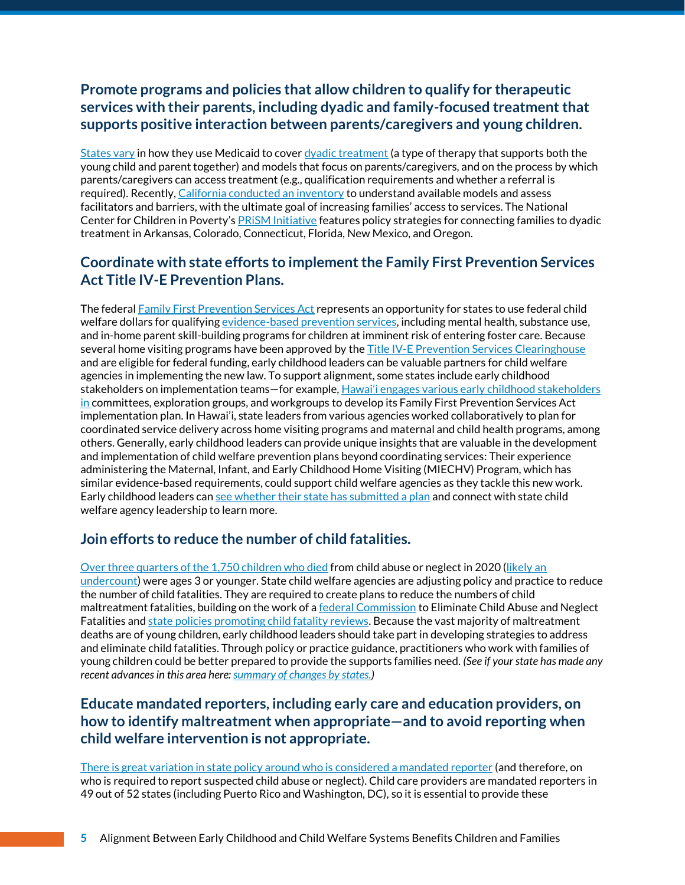### **Promote programs and policies that allow children to qualify for therapeutic services with their parents, including [dyadic and family-focused treatment](http://www.nccp.org/dyadic-treatment/) that supports positive interaction between parents/caregivers and young children.**

[States vary](http://www.nccp.org/wp-content/uploads/2017/03/text_1164.pdf) in how they use Medicaid to cove[r dyadic treatment](https://www.nccp.org/dyadic-treatment/) (a type of therapy that supports both the young child and parent together) and models that focus on parents/caregivers, and on the process by which parents/caregivers can access treatment (e.g., qualification requirements and whether a referral is required). Recently[, California conducted an inventory](https://ccf.georgetown.edu/2021/04/05/californias-medicaid-breakthrough-an-opportunity-to-advance-childrens-social-and-emotional-health/) to understand available models and assess facilitators and barriers, with the ultimate goal of increasing families' access to services. The National Center for Children in Poverty's [PRiSM Initiative](https://www.nccp.org/prism-project/) features policy strategies for connecting families to dyadic treatment in Arkansas, Colorado, Connecticut, Florida, New Mexico, and Oregon.

#### **Coordinate with state efforts to implement the Family First Prevention Services Act Title IV-E Prevention Plans.**

The federal [Family First Prevention Services Act](https://www.childwelfare.gov/topics/systemwide/laws-policies/federal/family-first/) represents an opportunity for states to use federal child welfare dollars for qualifyin[g evidence-based prevention services,](https://www.childtrends.org/publications/applying-the-research-and-evaluation-provisions-of-the-family-first-prevention-services-act) including mental health, substance use, and in-home parent skill-building programs for children at imminent risk of entering foster care. Because several home visiting programs have been approved by th[e Title IV-E Prevention Services Clearinghouse](https://preventionservices.abtsites.com/) and are eligible for federal funding, early childhood leaders can be valuable partners for child welfare agencies in implementing the new law. To support alignment, some states include early childhood stakeholders on implementation teams—for example, Hawai'[i engages various early childhood](https://humanservices.hawaii.gov/wp-content/uploads/2021/10/Family-First-Hawaii_FFPSA-Plan_Final-May21_PDF-2.pdf) stakeholders in committees, exploration groups, and workgroups to develop its Family First Prevention Services Act implementation plan. In Hawai'i, state leaders from various agencies worked collaboratively to plan for coordinated service delivery across home visiting programs and maternal and child health programs, among others. Generally, early childhood leaders can provide unique insights that are valuable in the development and implementation of child welfare prevention plans beyond coordinating services: Their experience administering the Maternal, Infant, and Early Childhood Home Visiting (MIECHV) Program, which has similar evidence-based requirements, could support child welfare agencies as they tackle this new work. Early childhood leaders can see whether [their state has submitted a plan](https://www.acf.hhs.gov/cb/data/status-submitted-title-iv-e-prevention-program-five-year-plans) and connect with state child welfare agency leadership to learn more.

#### **Join efforts to reduce the number of child fatalities.**

Over three [quarters of the 1,750 children who died](https://www.acf.hhs.gov/sites/default/files/documents/cb/cm2020.pdf) from child abuse or neglect in 2020 [\(likely an](https://www.gao.gov/products/gao-11-599)  [undercount\)](https://www.gao.gov/products/gao-11-599) were ages 3 or younger. State child welfare agencies are adjusting policy and practice to reduce the number of child fatalities. They are required to create plans to reduce the numbers of child maltreatment fatalities, building on the work of [a federal Commission](https://www.acf.hhs.gov/cb/report/within-our-reach-national-strategy-eliminate-child-abuse-and-neglect-fatalities) to Eliminate Child Abuse and Neglect Fatalities an[d state policies promoting child fatality reviews.](https://www.ncsl.org/research/human-services/child-fatality-legislation.aspx) Because the vast majority of maltreatment deaths are of young children, early childhood leaders should take part in developing strategies to address and eliminate child fatalities. Through policy or practice guidance, practitioners who work with families of young children could be better prepared to provide the supports families need. *(See if your state has made any recent advances in this area here[: summary of changes by states.\)](https://www.alliance1.org/web/within-our-reach/state-level-changes.aspx)*

#### **Educate mandated reporters, including early care and education providers, on how to identify maltreatment when appropriate—and to avoid reporting when child welfare intervention is not appropriate.**

[There is great variation in state policy around who is considered a mandated reporter](https://www.childwelfare.gov/pubPDFs/manda.pdf) (and therefore, on who is required to report suspected child abuse or neglect). Child care providers are mandated reporters in 49 out of 52 states (including Puerto Rico and Washington, DC), so it is essential to provide these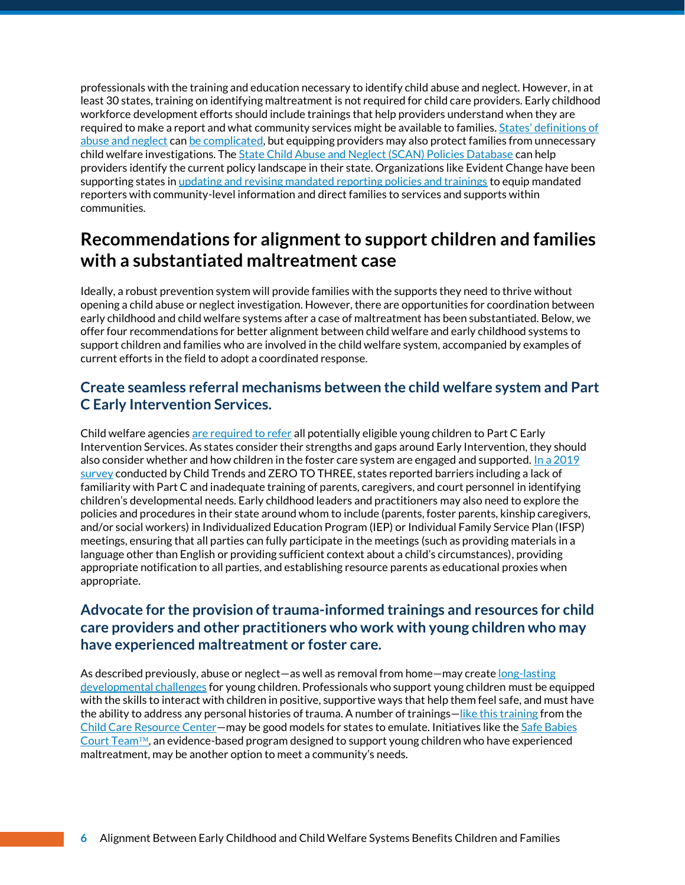professionals with the training and education necessary to identify child abuse and neglect. However, in at least 30 states, training on identifying maltreatment is not required for child care providers. Early childhood workforce development efforts should include trainings that help providers understand when they are required to make a report and what community services might be available to families. States' definitions of [abuse and neglect](https://www.scanpoliciesdatabase.com/) can [be complicated,](https://www.childtrends.org/wp-content/uploads/2022/02/ChildWelfareDataCompanionGuide_ChildTrends_March2022.pdf) but equipping providers may also protect families from unnecessary child welfare investigations. Th[e State Child Abuse and Neglect \(SCAN\) Policies Database](https://www.scanpoliciesdatabase.com/) can help providers identify the current policy landscape in their state. Organizations like Evident Change have been supporting states in [updating and revising mandated reporting policies and trainings](https://www.evidentchange.org/blog/keeping-children-safe-everyones-mandate#:~:text=Evident%20Change%20has%20developed%20reporting,suspected%20child%20abuse%20or%20neglect.) to equip mandated reporters with community-level information and direct families to services and supports within communities.

### **Recommendations for alignment to support children and families with a substantiated maltreatment case**

Ideally, a robust prevention system will provide families with the supports they need to thrive without opening a child abuse or neglect investigation. However, there are opportunities for coordination between early childhood and child welfare systems after a case of maltreatment has been substantiated. Below, we offer four recommendations for better alignment between child welfare and early childhood systems to support children and families who are involved in the child welfare system, accompanied by examples of current efforts in the field to adopt a coordinated response.

#### **Create seamless referral mechanisms between the child welfare system and Part C Early Intervention Services.**

Child welfare agencies [are required to refer](https://www.childwelfare.gov/pubPDFs/partc.pdf) all potentially eligible young children to Part C Early Intervention Services. As states consider their strengths and gaps around Early Intervention, they should also consider whether and how children in the foster care system are engaged and supported. In a  $2019$ [survey](https://www.childtrends.org/wp-content/uploads/2020/02/ZTT-State-Report_ChildTrends_Feb2020.pdf) conducted by Child Trends and ZERO TO THREE, states reported barriers including a lack of familiarity with Part C and inadequate training of parents, caregivers, and court personnel in identifying children's developmental needs. Early childhood leaders and practitioners may also need to explore the policies and procedures in their state around whom to include (parents, foster parents, kinship caregivers, and/or social workers) in Individualized Education Program (IEP) or Individual Family Service Plan (IFSP) meetings, ensuring that all parties can fully participate in the meetings (such as providing materials in a language other than English or providing sufficient context about a child's circumstances), providing appropriate notification to all parties, and establishing resource parents as educational proxies when appropriate.

#### **Advocate for the provision of trauma-informed trainings and resources for child care providers and other practitioners who work with young children who may have experienced maltreatment or foster care.**

As described previously, abuse or neglect—as well as removal from home—may creat[e long-lasting](https://www.childwelfare.gov/pubpdfs/long_term_consequences.pdf)  [developmental challenges](https://www.childwelfare.gov/pubpdfs/long_term_consequences.pdf) for young children. Professionals who support young children must be equipped with the skills to interact with children in positive, supportive ways that help them feel safe, and must have the ability to address any personal histories of trauma. A number of trainings—[like this training](https://www.ccrcca.org/providers/trauma-informed-care-training/) from the [Child Care Resource Center](https://www.ccrcca.org/)—may be good models for states to emulate. Initiatives like the [Safe Babies](https://www.zerotothree.org/resources/3517-safe-babies-court-team-approach-infographic)  [Court Team](https://www.zerotothree.org/resources/3517-safe-babies-court-team-approach-infographic)<sup> $m$ </sup>, an evidence-based program designed to support young children who have experienced maltreatment, may be another option to meet a community's needs.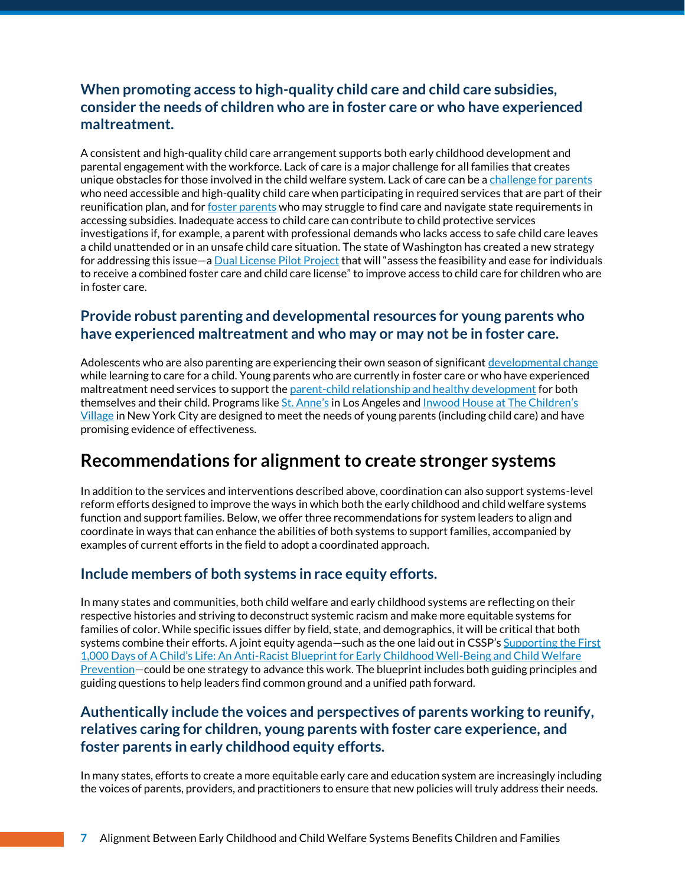### **When promoting access to high-quality child care and child care subsidies, consider the needs of children who are in foster care or who have experienced maltreatment.**

A consistent and high-quality child care arrangement supports both early childhood development and parental engagement with the workforce. Lack of care is a major challenge for all families that creates unique obstacles for those involved in the child welfare system. Lack of care can be a [challenge for parents](https://www.childtrends.org/wp-content/uploads/2020/02/ZTT-State-Report_ChildTrends_Feb2020.pdf) who need accessible and high-quality child care when participating in required services that are part of their reunification plan, and for [foster parents](https://adoption.org/foster-care-pay-daycare#:~:text=The%20short%20answer%20is%2C%20yes,to%20a%20state%2Dallotted%20rate.) who may struggle to find care and navigate state requirements in accessing subsidies. Inadequate access to child care can contribute to child protective services investigations if, for example, a parent with professional demands who lacks access to safe child care leaves a child unattended or in an unsafe child care situation. The state of Washington has created a new strategy for addressing this issue—[a Dual License Pilot P](https://www.dcyf.wa.gov/sites/default/files/pdf/reports/DualLicense-Status2021.pdf)roject that will "assess the feasibility and ease for individuals to receive a combined foster care and child care license" to improve access to child care for children who are in foster care.

#### **Provide robust parenting and developmental resources for young parents who have experienced maltreatment and who may or may not be in foster care.**

Adolescents who are also parenting are experiencing their own season of significan[t developmental change](https://youth.gov/youth-topics/adolescent-health/adolescent-development#:~:text=During%20adolescence%20the%20body%20usually,maturation%20where%20sexual%20organs%20mature.&text=Rapid%20changes%20in%20the%20body,scary%2C%20and%2For%20confusing.) while learning to care for a child. Young parents who are currently in foster care or who have experienced maltreatment need services to support th[e parent-child relationship and healthy development](https://www.casey.org/pregnant-parenting-teens/) for both themselves and their child. Programs like [St. Anne's](https://www.casey.org/stannes-young-mothers/) in Los Angeles and [Inwood House at The Children's](https://www.casey.org/inwood-house-childrens-village/)  [Village](https://www.casey.org/inwood-house-childrens-village/) in New York City are designed to meet the needs of young parents (including child care) and have promising evidence of effectiveness.

### **Recommendations for alignment to create stronger systems**

In addition to the services and interventions described above, coordination can also support systems-level reform efforts designed to improve the ways in which both the early childhood and child welfare systems function and support families. Below, we offer three recommendations for system leaders to align and coordinate in ways that can enhance the abilities of both systems to support families, accompanied by examples of current efforts in the field to adopt a coordinated approach.

### **Include members of both systems in race equity efforts.**

In many states and communities, both child welfare and early childhood systems are reflecting on their respective histories and striving to deconstruct systemic racism and make more equitable systems for families of color. While specific issues differ by field, state, and demographics, it will be critical that both systems combine their efforts. A joint equity agenda—such as the one laid out in CSSP's Supporting the First 1,000 Days of A Child's Life: An Anti[-Racist Blueprint for Early Childhood Well-Being and Child Welfare](https://cssp.org/wp-content/uploads/2021/02/Supporting-the-First-1000-Days-of-a-Childs-Life.pdf)  [Prevention](https://cssp.org/wp-content/uploads/2021/02/Supporting-the-First-1000-Days-of-a-Childs-Life.pdf)–could be one strategy to advance this work. The blueprint includes both guiding principles and guiding questions to help leaders find common ground and a unified path forward.

#### **Authentically include the voices and perspectives of parents working to reunify, relatives caring for children, young parents with foster care experience, and foster parents in early childhood equity efforts.**

In many states, efforts to create a more equitable early care and education system are increasingly including the voices of parents, providers, and practitioners to ensure that new policies will truly address their needs.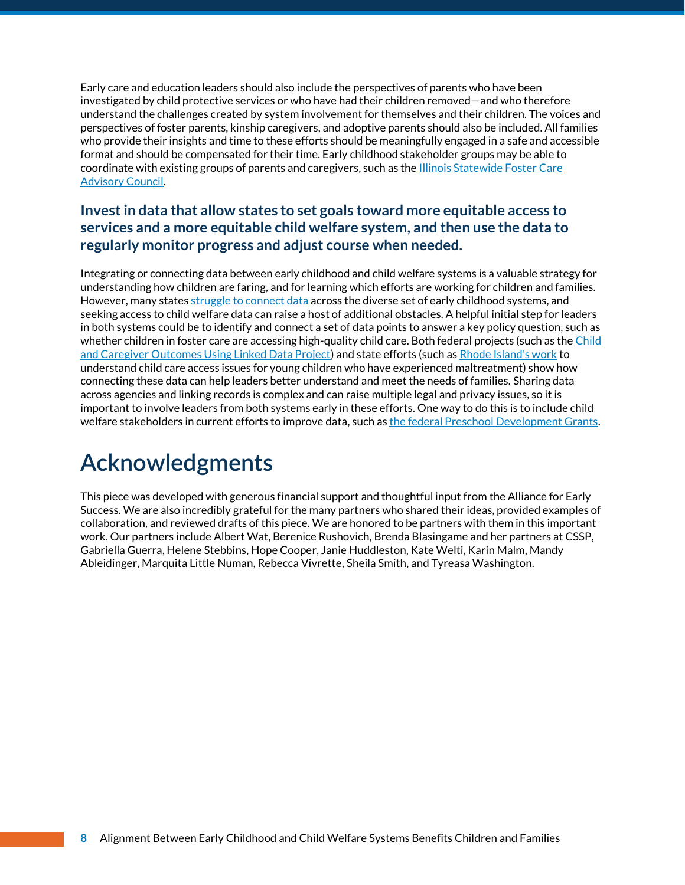Early care and education leaders should also include the perspectives of parents who have been investigated by child protective services or who have had their children removed—and who therefore understand the challenges created by system involvement for themselves and their children. The voices and perspectives of foster parents, kinship caregivers, and adoptive parents should also be included. All families who provide their insights and time to these efforts should be meaningfully engaged in a safe and accessible format and should be compensated for their time. Early childhood stakeholder groups may be able to coordinate with existing groups of parents and caregivers, such as the [Illinois Statewide](https://www2.illinois.gov/dcfs/lovinghomes/fostercare/Pages/com_communications_statefpadv.aspx) Foster Care [Advisory Council.](https://www2.illinois.gov/dcfs/lovinghomes/fostercare/Pages/com_communications_statefpadv.aspx) 

### **Invest in data that allow states to set goals toward more equitable access to services and a more equitable child welfare system, and then use the data to regularly monitor progress and adjust course when needed.**

Integrating or connecting data between early childhood and child welfare systems is a valuable strategy for understanding how children are faring, and for learning which efforts are working for children and families. However, many state[s struggle to connect data](https://www.childtrends.org/publications/2018-state-of-early-childhood-data-systems-interactive-map) across the diverse set of early childhood systems, and seeking access to child welfare data can raise a host of additional obstacles. A helpful initial step for leaders in both systems could be to identify and connect a set of data points to answer a key policy question, such as whether children in foster care are accessing high-quality child care. Both federal projects (such as the Child [and Caregiver Outcomes Using Linked Data Project\)](https://aspe.hhs.gov/sites/default/files/documents/d8f17022f085efd79013d33d81994e91/ccould-project-brief.pdf) and state efforts (such as [Rhode Island's work](https://www.rikidscount.org/Portals/0/Uploads/Documents/Special%20Publications/6718_ELFS_v9web.pdf) to understand child care access issues for young children who have experienced maltreatment) show how connecting these data can help leaders better understand and meet the needs of families. Sharing data across agencies and linking records is complex and can raise multiple legal and privacy issues, so it is important to involve leaders from both systems early in these efforts. One way to do this is to include child welfare stakeholders in current efforts to improve data, such a[s the federal Preschool Development Grants.](https://www2.ed.gov/programs/preschooldevelopmentgrants/index.html)

# **Acknowledgments**

This piece was developed with generous financial support and thoughtful input from the Alliance for Early Success. We are also incredibly grateful for the many partners who shared their ideas, provided examples of collaboration, and reviewed drafts of this piece. We are honored to be partners with them in this important work. Our partners include Albert Wat, Berenice Rushovich, Brenda Blasingame and her partners at CSSP, Gabriella Guerra, Helene Stebbins, Hope Cooper, Janie Huddleston, Kate Welti, Karin Malm, Mandy Ableidinger, Marquita Little Numan, Rebecca Vivrette, Sheila Smith, and Tyreasa Washington.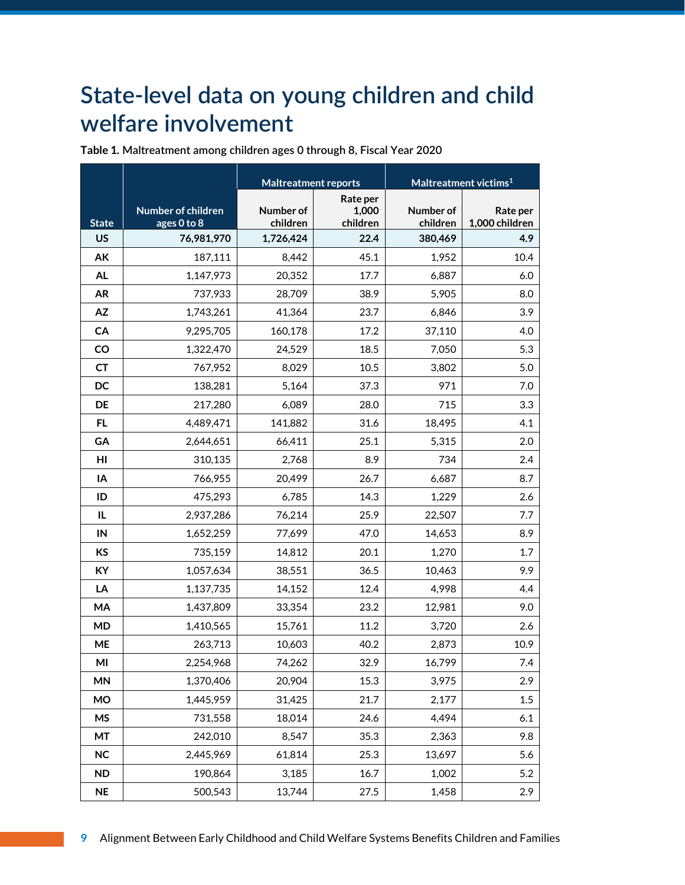## **State-level data on young children and child welfare involvement**

|              |                                   | <b>Maltreatment reports</b> |                               | Maltreatment victims <sup>1</sup> |                            |  |
|--------------|-----------------------------------|-----------------------------|-------------------------------|-----------------------------------|----------------------------|--|
| <b>State</b> | Number of children<br>ages 0 to 8 | Number of<br>children       | Rate per<br>1,000<br>children | Number of<br>children             | Rate per<br>1,000 children |  |
| <b>US</b>    | 76,981,970                        | 1,726,424                   | 22.4                          | 380,469                           | 4.9                        |  |
| AK           | 187,111                           | 8,442                       | 45.1                          | 1,952                             | 10.4                       |  |
| <b>AL</b>    | 1,147,973                         | 20,352                      | 17.7                          | 6,887                             | 6.0                        |  |
| <b>AR</b>    | 737,933                           | 28,709                      | 38.9                          | 5,905                             | 8.0                        |  |
| AZ           | 1,743,261                         | 41,364                      | 23.7                          | 6,846                             | 3.9                        |  |
| CA           | 9,295,705                         | 160,178                     | 17.2                          | 37,110                            | 4.0                        |  |
| CO           | 1,322,470                         | 24,529                      | 18.5                          | 7,050                             | 5.3                        |  |
| <b>CT</b>    | 767,952                           | 8,029                       | 10.5                          | 3,802                             | 5.0                        |  |
| DC           | 138,281                           | 5,164                       | 37.3                          | 971                               | 7.0                        |  |
| <b>DE</b>    | 217,280                           | 6,089                       | 28.0                          | 715                               | 3.3                        |  |
| <b>FL</b>    | 4,489,471                         | 141,882                     | 31.6                          | 18,495                            | 4.1                        |  |
| GA           | 2,644,651                         | 66,411                      | 25.1                          | 5,315                             | 2.0                        |  |
| HI           | 310,135                           | 2,768                       | 8.9                           | 734                               | 2.4                        |  |
| IA           | 766,955                           | 20,499                      | 26.7                          | 6,687                             | 8.7                        |  |
| ID           | 475,293                           | 6,785                       | 14.3                          | 1,229                             | 2.6                        |  |
| IL           | 2,937,286                         | 76,214                      | 25.9                          | 22,507                            | 7.7                        |  |
| IN           | 1,652,259                         | 77,699                      | 47.0                          | 14,653                            | 8.9                        |  |
| <b>KS</b>    | 735,159                           | 14,812                      | 20.1                          | 1,270                             | 1.7                        |  |
| <b>KY</b>    | 1,057,634                         | 38,551                      | 36.5                          | 10,463                            | 9.9                        |  |
| LA           | 1,137,735                         | 14,152                      | 12.4                          | 4,998                             | 4.4                        |  |
| MA           | 1,437,809                         | 33,354                      | 23.2                          | 12,981                            | 9.0                        |  |
| <b>MD</b>    | 1,410,565                         | 15,761                      | 11.2                          | 3,720                             | 2.6                        |  |
| ME           | 263,713                           | 10,603                      | 40.2                          | 2,873                             | 10.9                       |  |
| MI           | 2,254,968                         | 74,262                      | 32.9                          | 16,799                            | 7.4                        |  |
| <b>MN</b>    | 1,370,406                         | 20,904                      | 15.3                          | 3,975                             | 2.9                        |  |
| <b>MO</b>    | 1,445,959                         | 31,425                      | 21.7                          | 2,177                             | 1.5                        |  |
| MS           | 731,558                           | 18,014                      | 24.6                          | 4,494                             | 6.1                        |  |
| MT           | 242,010                           | 8,547                       | 35.3                          | 2,363                             | 9.8                        |  |
| <b>NC</b>    | 2,445,969                         | 61,814                      | 25.3                          | 13,697                            | 5.6                        |  |
| <b>ND</b>    | 190,864                           | 3,185                       | 16.7                          | 1,002                             | 5.2                        |  |
| <b>NE</b>    | 500,543                           | 13,744                      | 27.5                          | 1,458                             | 2.9                        |  |

**Table 1. Maltreatment among children ages 0 through 8, Fiscal Year 2020**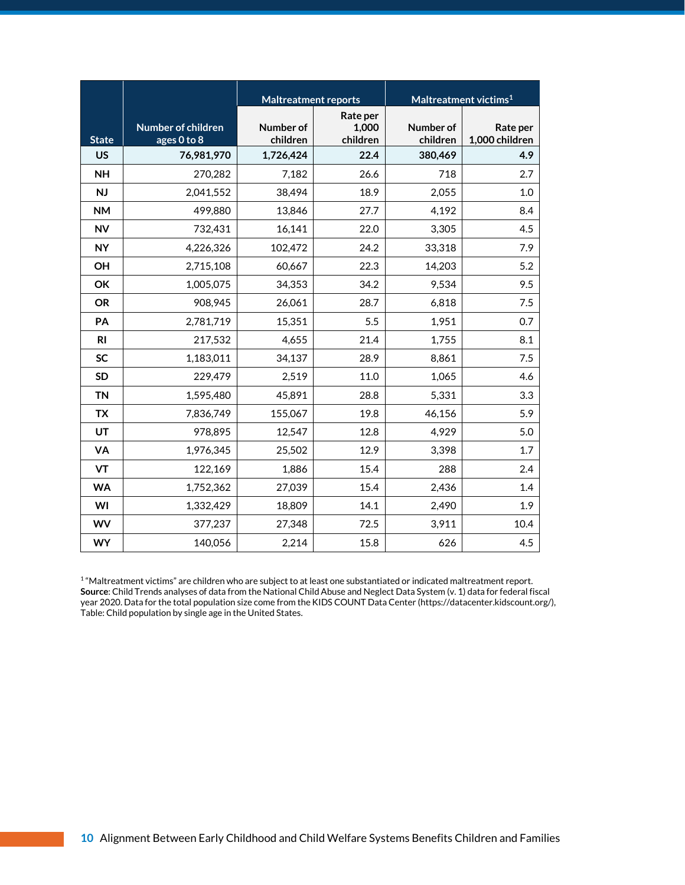|                |                                   | <b>Maltreatment reports</b> |                               |                       | Maltreatment victims <sup>1</sup> |
|----------------|-----------------------------------|-----------------------------|-------------------------------|-----------------------|-----------------------------------|
| <b>State</b>   | Number of children<br>ages 0 to 8 | Number of<br>children       | Rate per<br>1,000<br>children | Number of<br>children | Rate per<br>1,000 children        |
| <b>US</b>      | 76,981,970                        | 1,726,424                   | 22.4                          | 380,469               | 4.9                               |
| <b>NH</b>      | 270,282                           | 7,182                       | 26.6                          | 718                   | 2.7                               |
| <b>NJ</b>      | 2,041,552                         | 38,494                      | 18.9                          | 2,055                 | 1.0                               |
| <b>NM</b>      | 499,880                           | 13,846                      | 27.7                          | 4,192                 | 8.4                               |
| <b>NV</b>      | 732,431                           | 16,141                      | 22.0                          | 3,305                 | 4.5                               |
| <b>NY</b>      | 4,226,326                         | 102,472                     | 24.2                          | 33,318                | 7.9                               |
| OH             | 2,715,108                         | 60,667                      | 22.3                          | 14,203                | 5.2                               |
| OK             | 1,005,075                         | 34,353                      | 34.2                          | 9,534                 | 9.5                               |
| <b>OR</b>      | 908,945                           | 26,061                      | 28.7                          | 6,818                 | 7.5                               |
| PA             | 2,781,719                         | 15,351                      | 5.5                           | 1,951                 | 0.7                               |
| R <sub>l</sub> | 217,532                           | 4,655                       | 21.4                          | 1,755                 | 8.1                               |
| <b>SC</b>      | 1,183,011                         | 34,137                      | 28.9                          | 8,861                 | 7.5                               |
| <b>SD</b>      | 229,479                           | 2,519                       | 11.0                          | 1,065                 | 4.6                               |
| <b>TN</b>      | 1,595,480                         | 45,891                      | 28.8                          | 5,331                 | 3.3                               |
| <b>TX</b>      | 7,836,749                         | 155,067                     | 19.8                          | 46,156                | 5.9                               |
| UT             | 978,895                           | 12,547                      | 12.8                          | 4,929                 | 5.0                               |
| VA             | 1,976,345                         | 25,502                      | 12.9                          | 3,398                 | 1.7                               |
| VT             | 122,169                           | 1,886                       | 15.4                          | 288                   | 2.4                               |
| <b>WA</b>      | 1,752,362                         | 27,039                      | 15.4                          | 2,436                 | 1.4                               |
| WI             | 1,332,429                         | 18,809                      | 14.1                          | 2,490                 | 1.9                               |
| WV             | 377,237                           | 27,348                      | 72.5                          | 3,911                 | 10.4                              |
| <b>WY</b>      | 140,056                           | 2,214                       | 15.8                          | 626                   | 4.5                               |

1 "Maltreatment victims" are children who are subject to at least one substantiated or indicated maltreatment report. **Source**: Child Trends analyses of data from the National Child Abuse and Neglect Data System (v. 1) data for federal fiscal year 2020. Data for the total population size come from the KIDS COUNT Data Center (https://datacenter.kidscount.org/), Table: Child population by single age in the United States.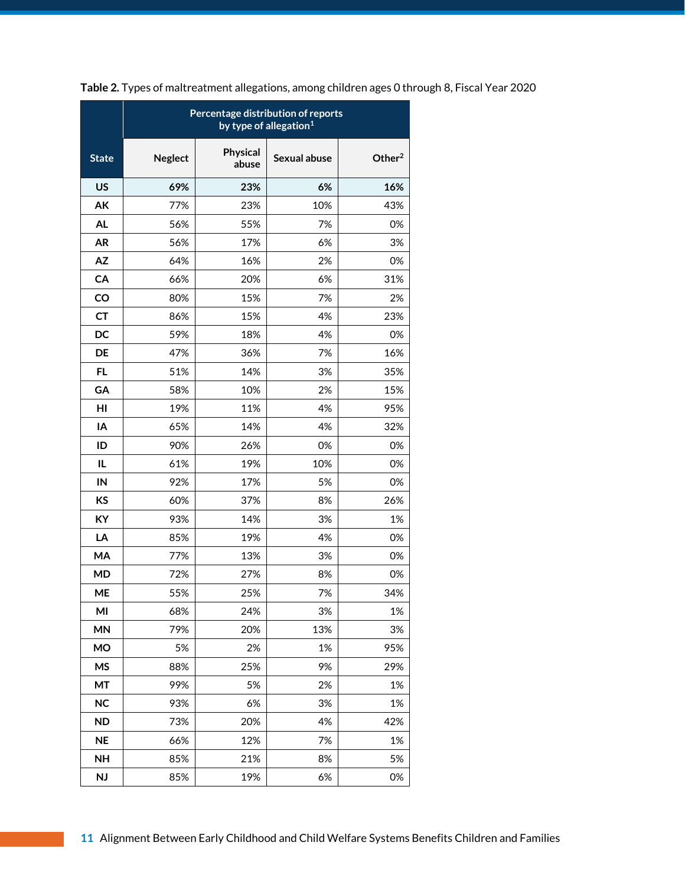|              | Percentage distribution of reports<br>by type of allegation <sup>1</sup> |                   |              |           |  |  |  |  |
|--------------|--------------------------------------------------------------------------|-------------------|--------------|-----------|--|--|--|--|
| <b>State</b> | <b>Neglect</b>                                                           | Physical<br>abuse | Sexual abuse | Other $2$ |  |  |  |  |
| <b>US</b>    | 69%                                                                      | 23%               | 6%           | 16%       |  |  |  |  |
| AK           | 77%                                                                      | 23%               | 10%          | 43%       |  |  |  |  |
| <b>AL</b>    | 56%                                                                      | 55%               | 7%           | 0%        |  |  |  |  |
| <b>AR</b>    | 56%                                                                      | 17%               | 6%           | 3%        |  |  |  |  |
| <b>AZ</b>    | 64%                                                                      | 16%               | 2%           | 0%        |  |  |  |  |
| CA           | 66%                                                                      | 20%               | 6%           | 31%       |  |  |  |  |
| CO           | 80%                                                                      | 15%               | 7%           | 2%        |  |  |  |  |
| <b>CT</b>    | 86%                                                                      | 15%               | 4%           | 23%       |  |  |  |  |
| DC           | 59%                                                                      | 18%               | 4%           | 0%        |  |  |  |  |
| <b>DE</b>    | 47%                                                                      | 36%               | 7%           | 16%       |  |  |  |  |
| FL.          | 51%                                                                      | 14%               | 3%           | 35%       |  |  |  |  |
| GA           | 58%                                                                      | 10%               | 2%           | 15%       |  |  |  |  |
| HI           | 19%                                                                      | 11%               | 4%           | 95%       |  |  |  |  |
| IA           | 65%                                                                      | 14%               | 4%           | 32%       |  |  |  |  |
| ID           | 90%                                                                      | 26%               | 0%           | 0%        |  |  |  |  |
| IL.          | 61%                                                                      | 19%               | 10%          | 0%        |  |  |  |  |
| IN           | 92%                                                                      | 17%               | 5%           | 0%        |  |  |  |  |
| <b>KS</b>    | 60%                                                                      | 37%               | 8%           | 26%       |  |  |  |  |
| KY           | 93%                                                                      | 14%               | 3%           | 1%        |  |  |  |  |
| LA           | 85%                                                                      | 19%               | 4%           | 0%        |  |  |  |  |
| MA           | 77%                                                                      | 13%               | 3%           | 0%        |  |  |  |  |
| <b>MD</b>    | 72%                                                                      | 27%               | 8%           | 0%        |  |  |  |  |
| <b>ME</b>    | 55%                                                                      | 25%               | 7%           | 34%       |  |  |  |  |
| MI           | 68%                                                                      | 24%               | 3%           | 1%        |  |  |  |  |
| <b>MN</b>    | 79%                                                                      | 20%               | 13%          | 3%        |  |  |  |  |
| <b>MO</b>    | 5%                                                                       | 2%                | 1%           | 95%       |  |  |  |  |
| <b>MS</b>    | 88%                                                                      | 25%               | 9%           | 29%       |  |  |  |  |
| MT           | 99%                                                                      | 5%                | 2%           | 1%        |  |  |  |  |
| <b>NC</b>    | 93%                                                                      | 6%                | 3%           | 1%        |  |  |  |  |
| <b>ND</b>    | 73%                                                                      | 20%               | 4%           | 42%       |  |  |  |  |
| <b>NE</b>    | 66%                                                                      | 12%               | 7%           | 1%        |  |  |  |  |
| <b>NH</b>    | 85%                                                                      | 21%               | 8%           | 5%        |  |  |  |  |
| <b>NJ</b>    | 85%                                                                      | 19%               | 6%           | 0%        |  |  |  |  |

**Table 2.** Types of maltreatment allegations, among children ages 0 through 8, Fiscal Year 2020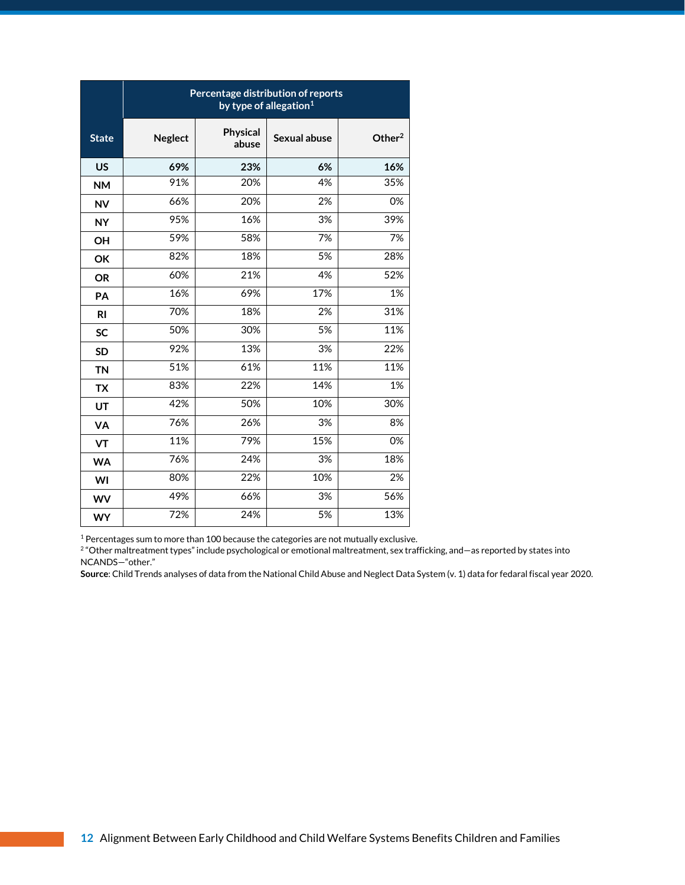|                | Percentage distribution of reports<br>by type of allegation $1$ |                   |              |           |  |  |  |  |  |
|----------------|-----------------------------------------------------------------|-------------------|--------------|-----------|--|--|--|--|--|
| <b>State</b>   | <b>Neglect</b>                                                  | Physical<br>abuse | Sexual abuse | Other $2$ |  |  |  |  |  |
| <b>US</b>      | 69%                                                             | 23%               | 6%           | 16%       |  |  |  |  |  |
| <b>NM</b>      | 91%                                                             | 20%               | 4%           | 35%       |  |  |  |  |  |
| <b>NV</b>      | 66%                                                             | 20%               | 2%           | 0%        |  |  |  |  |  |
| <b>NY</b>      | 95%                                                             | 16%               | 3%           | 39%       |  |  |  |  |  |
| OH             | 59%                                                             | 58%               | 7%           | 7%        |  |  |  |  |  |
| OK             | 82%                                                             | 18%               | 5%           | 28%       |  |  |  |  |  |
| <b>OR</b>      | 60%                                                             | 21%               | 4%           | 52%       |  |  |  |  |  |
| PA             | 16%                                                             | 69%               | 17%          | 1%        |  |  |  |  |  |
| R <sub>l</sub> | 70%                                                             | 18%               | 2%           | 31%       |  |  |  |  |  |
| <b>SC</b>      | 50%                                                             | 30%               | 5%           | 11%       |  |  |  |  |  |
| <b>SD</b>      | 92%                                                             | 13%               | 3%           | 22%       |  |  |  |  |  |
| <b>TN</b>      | 51%                                                             | 61%               | 11%          | 11%       |  |  |  |  |  |
| <b>TX</b>      | 83%                                                             | 22%               | 14%          | 1%        |  |  |  |  |  |
| UT             | 42%                                                             | 50%               | 10%          | 30%       |  |  |  |  |  |
| VA             | 76%                                                             | 26%               | 3%           | 8%        |  |  |  |  |  |
| VT             | 11%                                                             | 79%               | 15%          | 0%        |  |  |  |  |  |
| <b>WA</b>      | 76%                                                             | 24%               | 3%           | 18%       |  |  |  |  |  |
| WI             | 80%                                                             | 22%               | 10%          | 2%        |  |  |  |  |  |
| <b>WV</b>      | 49%                                                             | 66%               | 3%           | 56%       |  |  |  |  |  |
| <b>WY</b>      | 72%                                                             | 24%               | 5%           | 13%       |  |  |  |  |  |

<sup>1</sup> Percentages sum to more than 100 because the categories are not mutually exclusive.

2 "Other maltreatment types" include psychological or emotional maltreatment, sex trafficking, and—as reported by states into NCANDS—"other."

**Source**: Child Trends analyses of data from the National Child Abuse and Neglect Data System (v. 1) data for fedaral fiscal year 2020.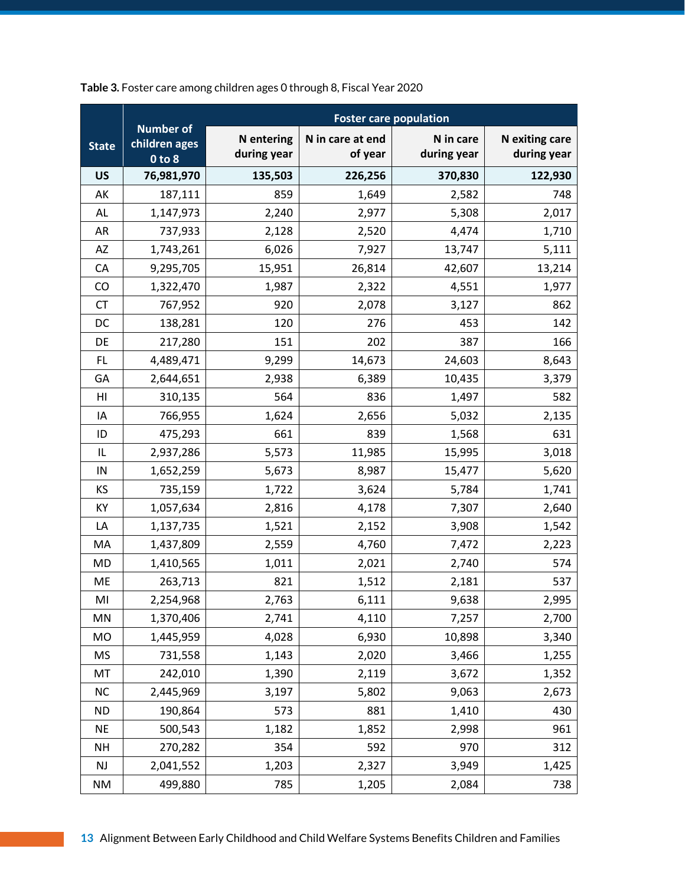|                | <b>Foster care population</b>                   |                                  |                             |                          |                               |  |  |
|----------------|-------------------------------------------------|----------------------------------|-----------------------------|--------------------------|-------------------------------|--|--|
| <b>State</b>   | <b>Number of</b><br>children ages<br>$0$ to $8$ | <b>N</b> entering<br>during year | N in care at end<br>of year | N in care<br>during year | N exiting care<br>during year |  |  |
| <b>US</b>      | 76,981,970                                      | 135,503                          | 226,256                     | 370,830                  | 122,930                       |  |  |
| AK             | 187,111                                         | 859                              | 1,649                       | 2,582                    | 748                           |  |  |
| AL             | 1,147,973                                       | 2,240                            | 2,977                       | 5,308                    | 2,017                         |  |  |
| <b>AR</b>      | 737,933                                         | 2,128                            | 2,520                       | 4,474                    | 1,710                         |  |  |
| AZ             | 1,743,261                                       | 6,026                            | 7,927                       | 13,747                   | 5,111                         |  |  |
| CA             | 9,295,705                                       | 15,951                           | 26,814                      | 42,607                   | 13,214                        |  |  |
| CO             | 1,322,470                                       | 1,987                            | 2,322                       | 4,551                    | 1,977                         |  |  |
| <b>CT</b>      | 767,952                                         | 920                              | 2,078                       | 3,127                    | 862                           |  |  |
| DC             | 138,281                                         | 120                              | 276                         | 453                      | 142                           |  |  |
| DE             | 217,280                                         | 151                              | 202                         | 387                      | 166                           |  |  |
| FL             | 4,489,471                                       | 9,299                            | 14,673                      | 24,603                   | 8,643                         |  |  |
| GA             | 2,644,651                                       | 2,938                            | 6,389                       | 10,435                   | 3,379                         |  |  |
| H <sub>l</sub> | 310,135                                         | 564                              | 836                         | 1,497                    | 582                           |  |  |
| IA             | 766,955                                         | 1,624                            | 2,656                       | 5,032                    | 2,135                         |  |  |
| ID             | 475,293                                         | 661                              | 839                         | 1,568                    | 631                           |  |  |
| IL             | 2,937,286                                       | 5,573                            | 11,985                      | 15,995                   | 3,018                         |  |  |
| IN             | 1,652,259                                       | 5,673                            | 8,987                       | 15,477                   | 5,620                         |  |  |
| KS             | 735,159                                         | 1,722                            | 3,624                       | 5,784                    | 1,741                         |  |  |
| KY             | 1,057,634                                       | 2,816                            | 4,178                       | 7,307                    | 2,640                         |  |  |
| LA             | 1,137,735                                       | 1,521                            | 2,152                       | 3,908                    | 1,542                         |  |  |
| MA             | 1,437,809                                       | 2,559                            | 4,760                       | 7,472                    | 2,223                         |  |  |
| <b>MD</b>      | 1,410,565                                       | 1,011                            | 2,021                       | 2,740                    | 574                           |  |  |
| ME             | 263,713                                         | 821                              | 1,512                       | 2,181                    | 537                           |  |  |
| MI             | 2,254,968                                       | 2,763                            | 6,111                       | 9,638                    | 2,995                         |  |  |
| MN             | 1,370,406                                       | 2,741                            | 4,110                       | 7,257                    | 2,700                         |  |  |
| <b>MO</b>      | 1,445,959                                       | 4,028                            | 6,930                       | 10,898                   | 3,340                         |  |  |
| <b>MS</b>      | 731,558                                         | 1,143                            | 2,020                       | 3,466                    | 1,255                         |  |  |
| MT             | 242,010                                         | 1,390                            | 2,119                       | 3,672                    | 1,352                         |  |  |
| NC             | 2,445,969                                       | 3,197                            | 5,802                       | 9,063                    | 2,673                         |  |  |
| <b>ND</b>      | 190,864                                         | 573                              | 881                         | 1,410                    | 430                           |  |  |
| <b>NE</b>      | 500,543                                         | 1,182                            | 1,852                       | 2,998                    | 961                           |  |  |
| <b>NH</b>      | 270,282                                         | 354                              | 592                         | 970                      | 312                           |  |  |
| $\mathsf{NJ}$  | 2,041,552                                       | 1,203                            | 2,327                       | 3,949                    | 1,425                         |  |  |
| <b>NM</b>      | 499,880                                         | 785                              | 1,205                       | 2,084                    | 738                           |  |  |

**Table 3.** Foster care among children ages 0 through 8, Fiscal Year 2020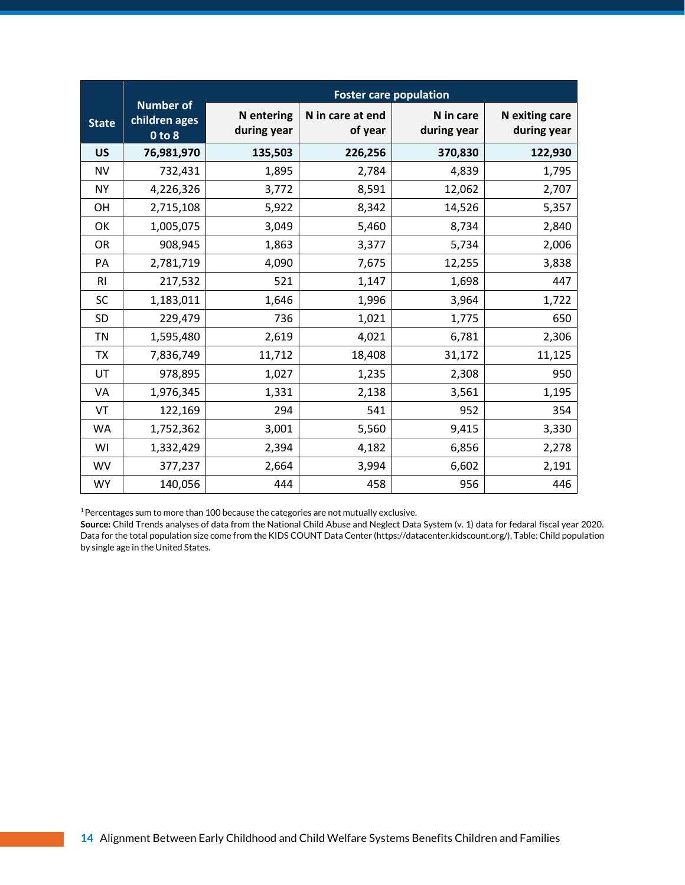|                | <b>Foster care population</b>                   |                                  |                             |                          |                               |  |  |
|----------------|-------------------------------------------------|----------------------------------|-----------------------------|--------------------------|-------------------------------|--|--|
| <b>State</b>   | <b>Number of</b><br>children ages<br>$0$ to $8$ | <b>N</b> entering<br>during year | N in care at end<br>of year | N in care<br>during year | N exiting care<br>during year |  |  |
| <b>US</b>      | 76,981,970                                      | 135,503                          | 226,256                     | 370,830                  | 122,930                       |  |  |
| <b>NV</b>      | 732,431                                         | 1,895                            | 2,784                       | 4,839                    | 1,795                         |  |  |
| <b>NY</b>      | 4,226,326                                       | 3,772                            | 8,591                       | 12,062                   | 2,707                         |  |  |
| <b>OH</b>      | 2,715,108                                       | 5,922                            | 8,342                       | 14,526                   | 5,357                         |  |  |
| OK             | 1,005,075                                       | 3,049                            | 5,460                       | 8,734                    | 2,840                         |  |  |
| <b>OR</b>      | 908,945                                         | 1,863                            | 3,377                       | 5,734                    | 2,006                         |  |  |
| PA             | 2,781,719                                       | 4,090                            | 7,675                       | 12,255                   | 3,838                         |  |  |
| R <sub>l</sub> | 217,532                                         | 521                              | 1,147                       | 1,698                    | 447                           |  |  |
| <b>SC</b>      | 1,183,011                                       | 1,646                            | 1,996                       | 3,964                    | 1,722                         |  |  |
| <b>SD</b>      | 229,479                                         | 736                              | 1,021                       | 1,775                    | 650                           |  |  |
| TN             | 1,595,480                                       | 2,619                            | 4,021                       | 6,781                    | 2,306                         |  |  |
| <b>TX</b>      | 7,836,749                                       | 11,712                           | 18,408                      | 31,172                   | 11,125                        |  |  |
| UT             | 978,895                                         | 1,027                            | 1,235                       | 2,308                    | 950                           |  |  |
| VA             | 1,976,345                                       | 1,331                            | 2,138                       | 3,561                    | 1,195                         |  |  |
| VT             | 122,169                                         | 294                              | 541                         | 952                      | 354                           |  |  |
| <b>WA</b>      | 1,752,362                                       | 3,001                            | 5,560                       | 9,415                    | 3,330                         |  |  |
| WI             | 1,332,429                                       | 2,394                            | 4,182                       | 6,856                    | 2,278                         |  |  |
| <b>WV</b>      | 377,237                                         | 2,664                            | 3,994                       | 6,602                    | 2,191                         |  |  |
| <b>WY</b>      | 140,056                                         | 444                              | 458                         | 956                      | 446                           |  |  |

<sup>1</sup>Percentages sum to more than 100 because the categories are not mutually exclusive.

**Source:** Child Trends analyses of data from the National Child Abuse and Neglect Data System (v. 1) data for fedaral fiscal year 2020. Data for the total population size come from the KIDS COUNT Data Center (https://datacenter.kidscount.org/), Table: Child population by single age in the United States.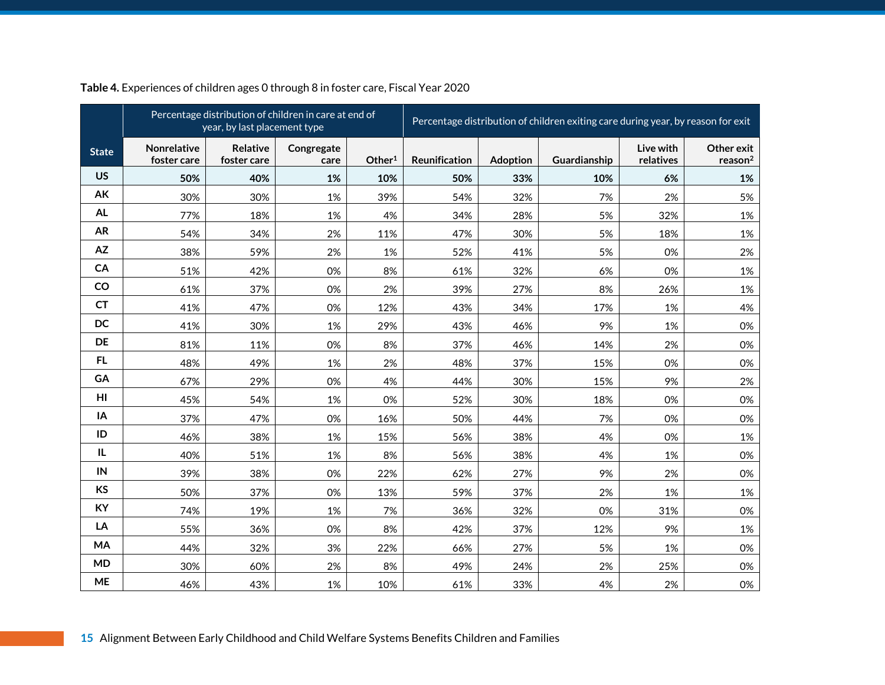|              | Percentage distribution of children in care at end of<br>year, by last placement type |                         |                    |                    | Percentage distribution of children exiting care during year, by reason for exit |                 |              |                        |                                   |
|--------------|---------------------------------------------------------------------------------------|-------------------------|--------------------|--------------------|----------------------------------------------------------------------------------|-----------------|--------------|------------------------|-----------------------------------|
| <b>State</b> | <b>Nonrelative</b><br>foster care                                                     | Relative<br>foster care | Congregate<br>care | Other <sup>1</sup> | Reunification                                                                    | <b>Adoption</b> | Guardianship | Live with<br>relatives | Other exit<br>reason <sup>2</sup> |
| <b>US</b>    | 50%                                                                                   | 40%                     | 1%                 | 10%                | 50%                                                                              | 33%             | 10%          | 6%                     | 1%                                |
| AK           | 30%                                                                                   | 30%                     | 1%                 | 39%                | 54%                                                                              | 32%             | 7%           | 2%                     | 5%                                |
| <b>AL</b>    | 77%                                                                                   | 18%                     | 1%                 | 4%                 | 34%                                                                              | 28%             | 5%           | 32%                    | 1%                                |
| <b>AR</b>    | 54%                                                                                   | 34%                     | 2%                 | 11%                | 47%                                                                              | 30%             | 5%           | 18%                    | 1%                                |
| AZ           | 38%                                                                                   | 59%                     | 2%                 | 1%                 | 52%                                                                              | 41%             | 5%           | 0%                     | 2%                                |
| CA           | 51%                                                                                   | 42%                     | 0%                 | 8%                 | 61%                                                                              | 32%             | 6%           | 0%                     | 1%                                |
| CO           | 61%                                                                                   | 37%                     | 0%                 | 2%                 | 39%                                                                              | 27%             | 8%           | 26%                    | 1%                                |
| <b>CT</b>    | 41%                                                                                   | 47%                     | 0%                 | 12%                | 43%                                                                              | 34%             | 17%          | 1%                     | 4%                                |
| DC           | 41%                                                                                   | 30%                     | 1%                 | 29%                | 43%                                                                              | 46%             | 9%           | 1%                     | 0%                                |
| DE           | 81%                                                                                   | 11%                     | 0%                 | 8%                 | 37%                                                                              | 46%             | 14%          | 2%                     | 0%                                |
| <b>FL</b>    | 48%                                                                                   | 49%                     | 1%                 | 2%                 | 48%                                                                              | 37%             | 15%          | 0%                     | 0%                                |
| GA           | 67%                                                                                   | 29%                     | 0%                 | 4%                 | 44%                                                                              | 30%             | 15%          | 9%                     | 2%                                |
| HI           | 45%                                                                                   | 54%                     | 1%                 | 0%                 | 52%                                                                              | 30%             | 18%          | 0%                     | 0%                                |
| IA           | 37%                                                                                   | 47%                     | 0%                 | 16%                | 50%                                                                              | 44%             | 7%           | 0%                     | 0%                                |
| ID           | 46%                                                                                   | 38%                     | 1%                 | 15%                | 56%                                                                              | 38%             | 4%           | 0%                     | 1%                                |
| IL           | 40%                                                                                   | 51%                     | 1%                 | 8%                 | 56%                                                                              | 38%             | 4%           | 1%                     | 0%                                |
| IN           | 39%                                                                                   | 38%                     | 0%                 | 22%                | 62%                                                                              | 27%             | 9%           | 2%                     | 0%                                |
| <b>KS</b>    | 50%                                                                                   | 37%                     | 0%                 | 13%                | 59%                                                                              | 37%             | 2%           | 1%                     | 1%                                |
| KY           | 74%                                                                                   | 19%                     | 1%                 | 7%                 | 36%                                                                              | 32%             | 0%           | 31%                    | 0%                                |
| LA           | 55%                                                                                   | 36%                     | 0%                 | 8%                 | 42%                                                                              | 37%             | 12%          | 9%                     | 1%                                |
| MA           | 44%                                                                                   | 32%                     | 3%                 | 22%                | 66%                                                                              | 27%             | 5%           | 1%                     | 0%                                |
| <b>MD</b>    | 30%                                                                                   | 60%                     | 2%                 | 8%                 | 49%                                                                              | 24%             | 2%           | 25%                    | 0%                                |
| <b>ME</b>    | 46%                                                                                   | 43%                     | 1%                 | 10%                | 61%                                                                              | 33%             | 4%           | 2%                     | 0%                                |

#### **Table 4.** Experiences of children ages 0 through 8 in foster care, Fiscal Year 2020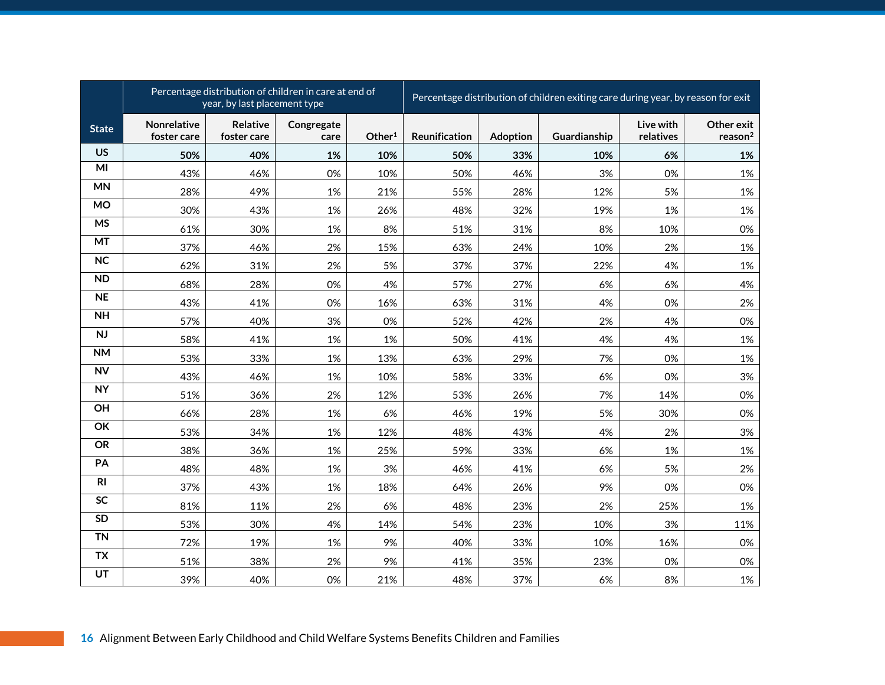|              |                            | Percentage distribution of children in care at end of<br>year, by last placement type |                    |                    |               | Percentage distribution of children exiting care during year, by reason for exit |              |                        |                                   |
|--------------|----------------------------|---------------------------------------------------------------------------------------|--------------------|--------------------|---------------|----------------------------------------------------------------------------------|--------------|------------------------|-----------------------------------|
| <b>State</b> | Nonrelative<br>foster care | Relative<br>foster care                                                               | Congregate<br>care | Other <sup>1</sup> | Reunification | Adoption                                                                         | Guardianship | Live with<br>relatives | Other exit<br>reason <sup>2</sup> |
| <b>US</b>    | 50%                        | 40%                                                                                   | 1%                 | 10%                | 50%           | 33%                                                                              | 10%          | 6%                     | 1%                                |
| MI           | 43%                        | 46%                                                                                   | 0%                 | 10%                | 50%           | 46%                                                                              | 3%           | 0%                     | 1%                                |
| <b>MN</b>    | 28%                        | 49%                                                                                   | 1%                 | 21%                | 55%           | 28%                                                                              | 12%          | 5%                     | 1%                                |
| <b>MO</b>    | 30%                        | 43%                                                                                   | 1%                 | 26%                | 48%           | 32%                                                                              | 19%          | 1%                     | 1%                                |
| <b>MS</b>    | 61%                        | 30%                                                                                   | 1%                 | 8%                 | 51%           | 31%                                                                              | 8%           | 10%                    | 0%                                |
| MT           | 37%                        | 46%                                                                                   | 2%                 | 15%                | 63%           | 24%                                                                              | 10%          | 2%                     | 1%                                |
| <b>NC</b>    | 62%                        | 31%                                                                                   | 2%                 | 5%                 | 37%           | 37%                                                                              | 22%          | 4%                     | 1%                                |
| <b>ND</b>    | 68%                        | 28%                                                                                   | 0%                 | 4%                 | 57%           | 27%                                                                              | 6%           | 6%                     | 4%                                |
| <b>NE</b>    | 43%                        | 41%                                                                                   | 0%                 | 16%                | 63%           | 31%                                                                              | 4%           | 0%                     | 2%                                |
| <b>NH</b>    | 57%                        | 40%                                                                                   | 3%                 | 0%                 | 52%           | 42%                                                                              | 2%           | 4%                     | 0%                                |
| NJ           | 58%                        | 41%                                                                                   | 1%                 | 1%                 | 50%           | 41%                                                                              | 4%           | 4%                     | 1%                                |
| <b>NM</b>    | 53%                        | 33%                                                                                   | 1%                 | 13%                | 63%           | 29%                                                                              | 7%           | 0%                     | 1%                                |
| <b>NV</b>    | 43%                        | 46%                                                                                   | 1%                 | 10%                | 58%           | 33%                                                                              | 6%           | 0%                     | 3%                                |
| NY           | 51%                        | 36%                                                                                   | 2%                 | 12%                | 53%           | 26%                                                                              | 7%           | 14%                    | 0%                                |
| OH           | 66%                        | 28%                                                                                   | 1%                 | 6%                 | 46%           | 19%                                                                              | 5%           | 30%                    | 0%                                |
| OK           | 53%                        | 34%                                                                                   | 1%                 | 12%                | 48%           | 43%                                                                              | 4%           | 2%                     | 3%                                |
| <b>OR</b>    | 38%                        | 36%                                                                                   | 1%                 | 25%                | 59%           | 33%                                                                              | 6%           | 1%                     | 1%                                |
| PA           | 48%                        | 48%                                                                                   | 1%                 | 3%                 | 46%           | 41%                                                                              | 6%           | 5%                     | 2%                                |
| R1           | 37%                        | 43%                                                                                   | 1%                 | 18%                | 64%           | 26%                                                                              | 9%           | 0%                     | 0%                                |
| <b>SC</b>    | 81%                        | 11%                                                                                   | 2%                 | 6%                 | 48%           | 23%                                                                              | 2%           | 25%                    | 1%                                |
| <b>SD</b>    | 53%                        | 30%                                                                                   | 4%                 | 14%                | 54%           | 23%                                                                              | 10%          | 3%                     | 11%                               |
| <b>TN</b>    | 72%                        | 19%                                                                                   | 1%                 | 9%                 | 40%           | 33%                                                                              | 10%          | 16%                    | 0%                                |
| <b>TX</b>    | 51%                        | 38%                                                                                   | 2%                 | 9%                 | 41%           | 35%                                                                              | 23%          | 0%                     | 0%                                |
| UT           | 39%                        | 40%                                                                                   | 0%                 | 21%                | 48%           | 37%                                                                              | 6%           | 8%                     | 1%                                |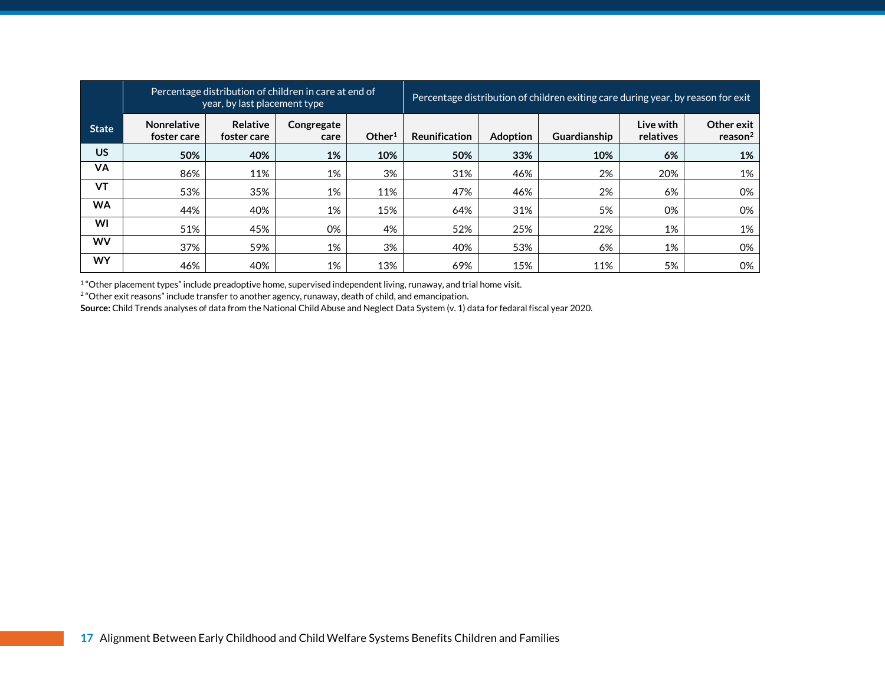|              | Percentage distribution of children in care at end of<br>year, by last placement type |                                |                    |                    |                      |                 | Percentage distribution of children exiting care during year, by reason for exit |                        |                                   |
|--------------|---------------------------------------------------------------------------------------|--------------------------------|--------------------|--------------------|----------------------|-----------------|----------------------------------------------------------------------------------|------------------------|-----------------------------------|
| <b>State</b> | Nonrelative<br>foster care                                                            | <b>Relative</b><br>foster care | Congregate<br>care | Other <sup>1</sup> | <b>Reunification</b> | <b>Adoption</b> | <b>Guardianship</b>                                                              | Live with<br>relatives | Other exit<br>reason <sup>2</sup> |
| <b>US</b>    | 50%                                                                                   | 40%                            | 1%                 | 10%                | 50%                  | 33%             | 10%                                                                              | 6%                     | 1%                                |
| <b>VA</b>    | 86%                                                                                   | 11%                            | 1%                 | 3%                 | 31%                  | 46%             | 2%                                                                               | 20%                    | 1%                                |
| <b>VT</b>    | 53%                                                                                   | 35%                            | 1%                 | 11%                | 47%                  | 46%             | 2%                                                                               | 6%                     | 0%                                |
| <b>WA</b>    | 44%                                                                                   | 40%                            | 1%                 | 15%                | 64%                  | 31%             | 5%                                                                               | 0%                     | 0%                                |
| WI           | 51%                                                                                   | 45%                            | 0%                 | 4%                 | 52%                  | 25%             | 22%                                                                              | 1%                     | 1%                                |
| <b>WV</b>    | 37%                                                                                   | 59%                            | 1%                 | 3%                 | 40%                  | 53%             | 6%                                                                               | 1%                     | 0%                                |
| <b>WY</b>    | 46%                                                                                   | 40%                            | 1%                 | 13%                | 69%                  | 15%             | 11%                                                                              | 5%                     | 0%                                |

 $1$  "Other placement types" include preadoptive home, supervised independent living, runaway, and trial home visit.

 $^{\rm 2}$ "Other exit reasons" include transfer to another agency, runaway, death of child, and emancipation.

**Source:** Child Trends analyses of data from the National Child Abuse and Neglect Data System (v. 1) data for fedaral fiscal year 2020.